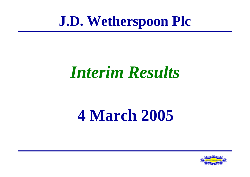# **J.D. Wetherspoon Plc**

# *Interim Results*

# **4 March 2005**

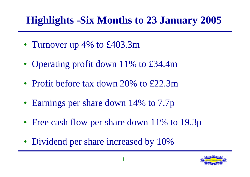# **Highlights -Six Months to 23 January 2005**

- Turnover up 4% to £403.3m
- Operating profit down 11% to £34.4m
- Profit before tax down 20% to £22.3m
- Earnings per share down 14% to 7.7p
- Free cash flow per share down 11% to 19.3p
- Dividend per share increased by 10%

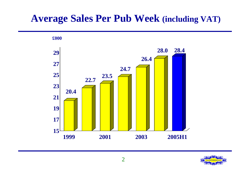#### **Average Sales Per Pub Week (including VAT)**



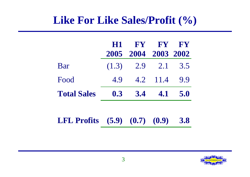#### **Like For Like Sales/Profit (%)**

|                                        |     | H1 FY FY FY         |           |            |
|----------------------------------------|-----|---------------------|-----------|------------|
|                                        |     | 2005 2004 2003 2002 |           |            |
| Bar                                    |     | $(1.3)$ 2.9 2.1 3.5 |           |            |
| Food                                   | 4.9 |                     | 4.2 11.4  | 9.9        |
| <b>Total Sales</b>                     | 0.3 |                     | $3.4$ 4.1 | 5.0        |
|                                        |     |                     |           |            |
| <b>LFL Profits</b> $(5.9) (0.7) (0.9)$ |     |                     |           | <b>3.8</b> |

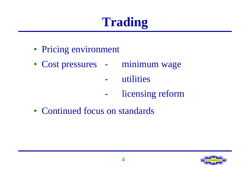# **Trading**

- Pricing environment
- Cost pressures minimum wage
	- utilities
	- licensing reform
- Continued focus on standards

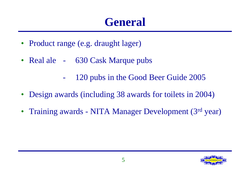# **General**

- Product range (e.g. draught lager)
- Real ale 630 Cask Marque pubs
	- 120 pubs in the Good Beer Guide 2005
- Design awards (including 38 awards for toilets in 2004)
- Training awards NITA Manager Development (3rd year)

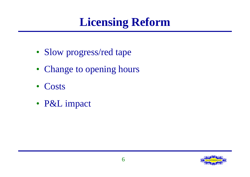# **Licensing Reform**

- Slow progress/red tape
- Change to opening hours
- Costs
- P&L impact

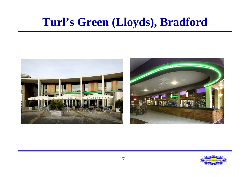# **Turl's Green (Lloyds), Bradford**



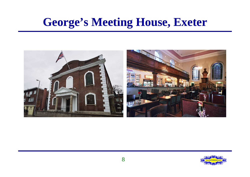# **George's Meeting House, Exeter**



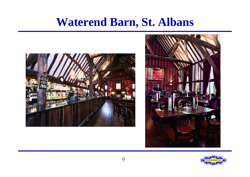# **Waterend Barn, St. Albans**





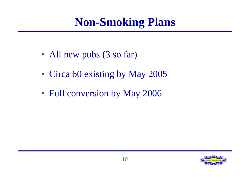# **Non-Smoking Plans**

- All new pubs (3 so far)
- Circa 60 existing by May 2005
- Full conversion by May 2006

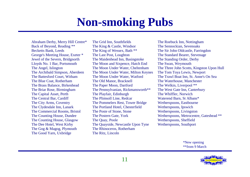# **Non-smoking Pubs**

The Gog & Magog, Plymouth The Rhinoceros, Rotherham The Good Yarn, Uxbridge The Ritz, Lincoln

Abraham Derby, Merry Hill Centre\* The Grid Inn, Southfields The Roebuck Inn, Nottingham Back of Beyond, Reading \*\* The King & Castle, Windsor The Sennockian, Sevenoaks Becketts Bank, Leeds The King of Wessex, Bath \*\* The Sir John Oldcastle, Farringdon George's Meeting House, Exeter \* The Last Post, Loughton The Standard Bearer, Stevenage Jewel of the Severn, Bridgnorth The Maidenhead Inn, Basingstoke The Standing Order, Derby Lloyds No. 1 Bar, Portsmouth The Moon and Sixpence, Hatch End The Swan, Weymouth The Archibald Simpson, Aberdeen The Moon Under Water, Milton Keynes The Tom Toya Lewis, Newport The Battesford Court, Witham The Moon Under Water, Watford The Trawl Boat Inn, St. Anne's On Sea The Blue Coat, Rotherham The Old Manor, Bracknell The Waterhouse, Manchester The Brass Balance, Birkenhead The Paper Moon, Dartford The Welkin, Liverpool \*\* The Briar Rose, Birmingham The Pennsylvanian, Rickmansworth<sup>\*\*</sup> The West Gate Inn, Canterbury The Capital Asset, Perth The Playfair, Edinburgh The Whiffler, Norwich The Central Bar, Cardiff The Plimsoll Line, Redcar Waterend Barn, St Albans\* The City Arms, Coventry The Pommelers Rest, Tower Bridge Wetherspoons, Eastbourne The Clydesdale Inn, Lanark The Portland Hotel, Chesterfield Wetherspoons, Ipswich The Commercial Rooms, Bristol The Poste of Stone, Stone Wetherspoons, Livingston The Counting House, Glasgow The Quay, Poole Wetherspoons, Sheffield The Dee Hotel, West Kirby The Quayside, Newcastle Upon Tyne Wetherspoons, Southport

The Angel, Islington The Moon Under Water, Cheltenham The Three John Scotts, Kingston Upon Hull The Counting House, Dundee The Postern Gate, York Wetherspoons, Metrocentre, Gateshead \*\*

> \*New opening \*\*from 9 March

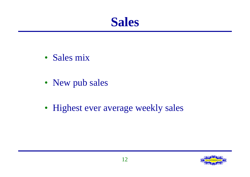**Sales**

- Sales mix
- New pub sales
- Highest ever average weekly sales

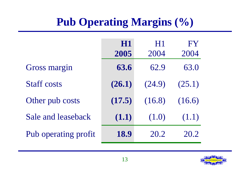# **Pub Operating Margins (%)**

|                      | H1     | H1     | FY     |
|----------------------|--------|--------|--------|
|                      | 2005   | 2004   | 2004   |
| <b>Gross margin</b>  | 63.6   | 62.9   | 63.0   |
| <b>Staff costs</b>   | (26.1) | (24.9) | (25.1) |
| Other pub costs      | (17.5) | (16.8) | (16.6) |
| Sale and leaseback   | (1.1)  | (1.0)  | (1.1)  |
| Pub operating profit | 18.9   | 20.2   | 20.2   |

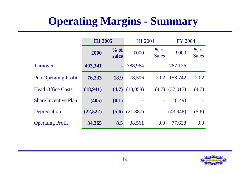# **Operating Margins - Summary**

|                             | H1 2005   |                 | H1 2004   |                               | <b>FY 2004</b> |                        |  |
|-----------------------------|-----------|-----------------|-----------|-------------------------------|----------------|------------------------|--|
|                             | £000      | $%$ of<br>sales | £000      | $%$ of<br><b>Sales</b>        | £000           | $%$ of<br><b>Sales</b> |  |
| Turnover                    | 403,341   | ۰               | 388,964   | $\omega_{\rm c}$              | 787,126        |                        |  |
| <b>Pub Operating Profit</b> | 76,233    | <b>18.9</b>     | 78,506    | 20.2                          | 158,742        | 20.2                   |  |
| <b>Head Office Costs</b>    | (18,941)  | (4.7)           | (18,058)  | (4.7)                         | (37,017)       | (4.7)                  |  |
| <b>Share Incentive Plan</b> | (405)     | (0.1)           |           | ۰                             | (149)          |                        |  |
| Depreciation                | (22, 522) | (5.6)           | (21, 887) | $\left\langle -\right\rangle$ | (43,948)       | (5.6)                  |  |
| <b>Operating Profit</b>     | 34,365    | 8.5             | 38,561    | 9.9                           | 77,628         | 9.9                    |  |

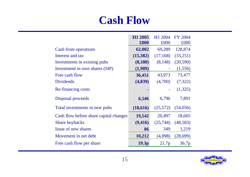#### **Cash Flow**

|                                        | H1 2005           | H1 2004   | <b>FY 2004</b> |
|----------------------------------------|-------------------|-----------|----------------|
|                                        | £000              | £000      | £000           |
| <b>Cash from operations</b>            | 62,002            | 69,289    | 128,874        |
| Interest and tax                       | (15,382)          | (17, 168) | (33,251)       |
| Investments in existing pubs           | (8,180)           | (8,148)   | (20,590)       |
| Investment in own shares (SIP)         | (1,989)           |           | (1, 556)       |
| Free cash flow                         | 36,451            | 43,973    | 73,477         |
| <b>Dividends</b>                       | (4,839)           | (4,700)   | (7, 322)       |
| Re-financing costs                     |                   |           | (1,325)        |
| Disposal proceeds                      | 6,546             | 6,796     | 7,891          |
| Total investments in new pubs          | (18,616)          | (25,572)  | (54,056)       |
| Cash flow before share capital changes | 19,542            | 20,497    | 18,665         |
| <b>Share buybacks</b>                  | (9, 416)          | (25,744)  | (48,583)       |
| Issue of new shares                    | 86                | 349       | 1,219          |
| Movement in net debt                   | 10,212            | (4,898)   | (28, 699)      |
| Free cash flow per share               | 19.3 <sub>p</sub> | 21.7p     | 36.7p          |

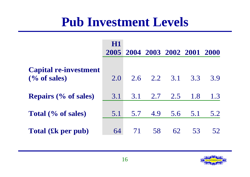# **Pub Investment Levels**

|                                                                             | H1  | 2005 2004 2003 2002 2001 2000 |         |     |     |     |
|-----------------------------------------------------------------------------|-----|-------------------------------|---------|-----|-----|-----|
| <b>Capital re-investment</b><br>$\left(\frac{0}{6} \text{ of sales}\right)$ | 2.0 | 2.6                           | 2.2 3.1 |     | 3.3 | 3.9 |
| <b>Repairs (% of sales)</b>                                                 | 3.1 | 3.1                           | 2.7     | 2.5 | 1.8 | 1.3 |
| Total (% of sales)                                                          | 5.1 | 5.7                           | 4.9     | 5.6 | 5.1 | 5.2 |
| Total (£k per pub)                                                          | 64  | 71                            | 58      | 62  | 53  | 52  |

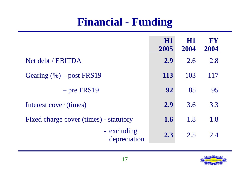### **Financial - Funding**

|                                        | <b>H1</b><br>2005 | <b>H1</b><br>2004 | <b>FY</b><br>2004 |
|----------------------------------------|-------------------|-------------------|-------------------|
| Net debt / EBITDA                      | 2.9               | 2.6               | 2.8               |
| Gearing $(\% )$ – post FRS19           | 113               | 103               | 117               |
| $-$ pre FRS19                          | 92                | 85                | 95                |
| Interest cover (times)                 | 2.9               | 3.6               | 3.3               |
| Fixed charge cover (times) - statutory | 1.6               | 1.8               | 1.8               |
| - excluding<br>depreciation            | 2.3               | 2.5               | 2.4               |

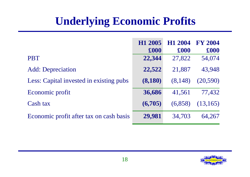# **Underlying Economic Profits**

|                                         | H <sub>1</sub> 2005<br>$\pmb{\pounds}000$ | H <sub>1</sub> 2004<br>£000 | <b>FY 2004</b><br>£000 |
|-----------------------------------------|-------------------------------------------|-----------------------------|------------------------|
| <b>PBT</b>                              | 22,344                                    | 27,822                      | 54,074                 |
| <b>Add:</b> Depreciation                | 22,522                                    | 21,887                      | 43,948                 |
| Less: Capital invested in existing pubs | (8,180)                                   | (8,148)                     | (20, 590)              |
| Economic profit                         | 36,686                                    | 41,561                      | 77,432                 |
| Cash tax                                | (6,705)                                   | (6,858)                     | (13, 165)              |
| Economic profit after tax on cash basis | 29,981                                    | 34,703                      | 64,267                 |

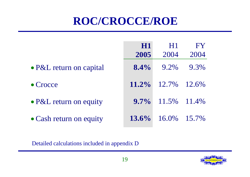# **ROC/CROCCE/ROE**

|                         | <b>H1</b> | H1                   | FY   |
|-------------------------|-----------|----------------------|------|
|                         | 2005      | 2004                 | 2004 |
| • P&L return on capital | $8.4\%$   | 9.2%                 | 9.3% |
| $\bullet$ Crocce        | $11.2\%$  | $12.7\%$ $12.6\%$    |      |
| • P&L return on equity  |           | $9.7\%$ 11.5% 11.4%  |      |
| • Cash return on equity |           | 13.6% $16.0\%$ 15.7% |      |

Detailed calculations included in appendix D

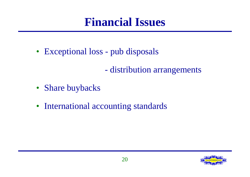# **Financial Issues**

- Exceptional loss pub disposals
	- distribution arrangements
- Share buybacks
- International accounting standards

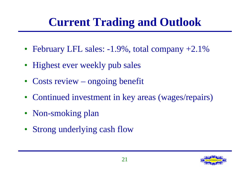# **Current Trading and Outlook**

- February LFL sales:  $-1.9\%$ , total company  $+2.1\%$
- Highest ever weekly pub sales
- Costs review ongoing benefit
- Continued investment in key areas (wages/repairs)
- Non-smoking plan
- Strong underlying cash flow

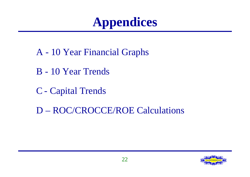# **Appendices**

- A 10 Year Financial Graphs
- B 10 Year Trends
- C Capital Trends
- D ROC/CROCCE/ROE Calculations

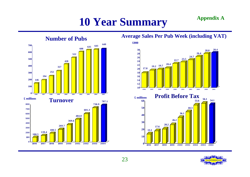# **10 Year Summary Appendix A**



#### **Average Sales Per Pub Week (including VAT)**



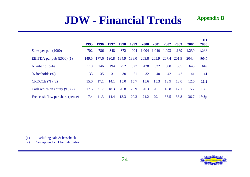#### **JDW - Financial Trends**

|                                         |       |       |       |       |       |       |       |       |       |       | H1                |
|-----------------------------------------|-------|-------|-------|-------|-------|-------|-------|-------|-------|-------|-------------------|
|                                         | 1995  | 1996  | 1997  | 1998  | 1999  | 2000  | 2001  | 2002  | 2003  | 2004  | 2005              |
| Sales per pub $(\text{\pounds}000)$     | 702   | 786   | 848   | 872   | 904   | 1,004 | 1,040 | 1,093 | 1,169 | 1,239 | 1,256             |
| EBITDA per pub $(\text{\pounds}000)(1)$ | 149.5 | 177.6 | 190.8 | 184.9 | 188.0 | 203.8 | 205.9 | 207.4 | 201.9 | 204.4 | 190.9             |
| Number of pubs                          | 110   | 146   | 194   | 252   | 327   | 428   | 522   | 608   | 635   | 643   | 649               |
| $%$ freeholds $(\%)$                    | 33    | 35    | 31    | 30    | 21    | 32    | 40    | 42    | 42    | 41    | 41                |
| $CROCCE$ $(\%)(2)$                      | 15.0  | 17.1  | 14.1  | 15.0  | 15.7  | 15.6  | 15.3  | 13.9  | 13.0  | 12.6  | <b>11.2</b>       |
| Cash return on equity $(\%)$ (2)        | 17.5  | 21.7  | 18.3  | 20.8  | 20.9  | 20.3  | 20.1  | 18.8  | 17.1  | 15.7  | <b>13.6</b>       |
| Free cash flow per share (pence)        | 7.4   | 11.3  | 14.4  | 13.3  | 20.3  | 24.2  | 29.1  | 33.5  | 38.8  | 36.7  | 19.3 <sub>p</sub> |

(1) Excluding sale & leaseback

(2) See appendix D for calculation

**Appendix B**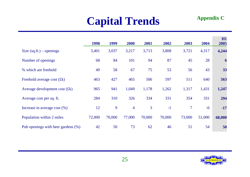# **Capital Trends**

| <b>Appendix C</b> |  |
|-------------------|--|
|-------------------|--|

|                                    | 1998   | 1999   | 2000           | 2001           | 2002   | 2003           | 2004   | H1<br>2005 |
|------------------------------------|--------|--------|----------------|----------------|--------|----------------|--------|------------|
| Size $(sq.fit.)$ – openings        | 3,401  | 3,037  | 3,217          | 3,713          | 3,808  | 3,721          | 4,317  | 4,244      |
| Number of openings                 | 68     | 84     | 101            | 94             | 87     | 45             | 28     | 6          |
| % which are freehold               | 49     | 58     | 67             | 75             | 53     | 56             | 43     | 33         |
| Freehold average cost $(fk)$       | 463    | 427    | 465            | 506            | 597    | 511            | 640    | 563        |
| Average development cost $(fk)$    | 965    | 941    | 1,049          | 1,178          | 1,262  | 1,317          | 1,431  | 1,247      |
| Average cost per sq. ft.           | 284    | 310    | 326            | 334            | 331    | 354            | 331    | 294        |
| Increase in average cost $(\%)$    | 12     | 9      | $\overline{4}$ | $\overline{3}$ | $-1$   | $\overline{7}$ | $-6$   | $-17$      |
| Population within 2 miles          | 72,000 | 70,000 | 77,000         | 70,000         | 70,000 | 73,000         | 51,000 | 68,000     |
| Pub openings with beer gardens (%) | 42     | 50     | 73             | 62             | 46     | 51             | 54     | 50         |

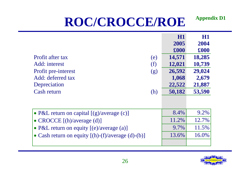# **ROC/CROCCE/ROE**

|                                                           | <b>H1</b> | H1     |
|-----------------------------------------------------------|-----------|--------|
|                                                           | 2005      | 2004   |
|                                                           | £000      | £000   |
| <b>Profit after tax</b><br>(e)                            | 14,571    | 18,285 |
| Add: interest<br>(f)                                      | 12,021    | 10,739 |
| Profit pre-interest<br>(g)                                | 26,592    | 29,024 |
| Add: deferred tax                                         | 1,068     | 2,679  |
| Depreciation                                              | 22,522    | 21,887 |
| Cash return<br>(h)                                        | 50,182    | 53,590 |
|                                                           |           |        |
|                                                           |           |        |
| • P&L return on capital $[(g)/\text{average}(c)]$         | 8.4%      | 9.2%   |
| • CROCCE [(h)/average (d)]                                | 11.2%     | 12.7%  |
| • P&L return on equity [(e)/average (a)]                  | 9.7%      | 11.5%  |
| • Cash return on equity $[(h)-(f)/\text{average}(d)-(b)]$ | 13.6%     | 16.0%  |
|                                                           |           |        |



**Appendix D1**